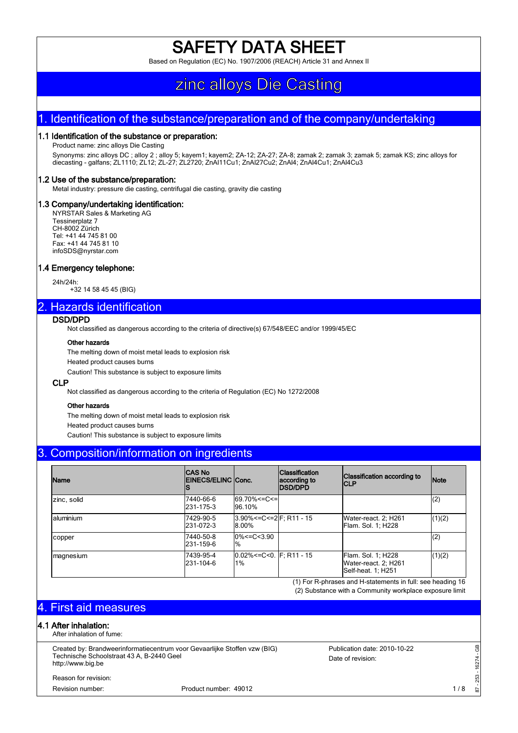# **SAFETY DATA SHEET**

Based on Regulation (EC) No. 1907/2006 (REACH) Article 31 and Annex II

# **zinc alloys Die Casting**

### 1. Identification of the substance/preparation and of the company/undertaking

#### **1.1 Identification of the substance or preparation:**

Product name: zinc alloys Die Casting

Synonyms: zinc alloys DC ; alloy 2 ; alloy 5; kayem1; kayem2; ZA-12; ZA-27; ZA-8; zamak 2; zamak 3; zamak 5; zamak KS; zinc alloys for diecasting - galfans; ZL1110; ZL12; ZL-27; ZL2720; ZnAl11Cu1; ZnAl27Cu2; ZnAl4; ZnAl4Cu1; ZnAl4Cu3

#### **1.2 Use of the substance/preparation:**

Metal industry: pressure die casting, centrifugal die casting, gravity die casting

### **1.3 Company/undertaking identification:**

NYRSTAR Sales & Marketing AG Tessinerplatz 7 CH-8002 Zürich Tel: +41 44 745 81 00 Fax: +41 44 745 81 10 infoSDS@nyrstar.com

#### **1.4 Emergency telephone:**

24h/24h:

+32 14 58 45 45 (BIG)

### **Hazards identification**

#### **DSD/DPD**

Not classified as dangerous according to the criteria of directive(s) 67/548/EEC and/or 1999/45/EC

#### **Other hazards**

The melting down of moist metal leads to explosion risk

Heated product causes burns

Caution! This substance is subject to exposure limits

#### **CLP**

Not classified as dangerous according to the criteria of Regulation (EC) No 1272/2008

#### **Other hazards**

The melting down of moist metal leads to explosion risk

Heated product causes burns

Caution! This substance is subject to exposure limits

### 3. Composition/information on ingredients

| <b>Name</b> | <b>CAS No</b><br>EINECS/ELINC Conc. |                                            | <b>Classification</b><br>according to<br><b>IDSD/DPD</b> | Classification according to<br><b>ICLP</b>                       | Note   |
|-------------|-------------------------------------|--------------------------------------------|----------------------------------------------------------|------------------------------------------------------------------|--------|
| zinc, solid | 7440-66-6<br>231-175-3              | $ 69.70% < = C < =  $<br><b>96.10%</b>     |                                                          |                                                                  | (2)    |
| laluminium  | 7429-90-5<br>231-072-3              | $ 3.90\%<=C<=2 F $ : R11 - 15<br>$18.00\%$ |                                                          | Water-react. 2; H261<br>Flam. Sol. 1; H228                       | (1)(2) |
| copper      | 7440-50-8<br>231-159-6              | $10\% < = C < 3.90$<br>l%                  |                                                          |                                                                  | (2)    |
| magnesium   | 7439-95-4<br>231-104-6              | $ 0.02\%<=C<0.$ $ F $ : R11 - 15<br>l1%    |                                                          | Flam. Sol. 1; H228<br>Water-react. 2; H261<br>Self-heat. 1; H251 | (1)(2) |

(1) For R-phrases and H-statements in full: see heading 16 (2) Substance with a Community workplace exposure limit

### 4. First aid measures

#### **4.1 After inhalation:**

After inhalation of fume:

Created by: Brandweerinformatiecentrum voor Gevaarlijke Stoffen vzw (BIG) Technische Schoolstraat 43 A, B-2440 Geel http://www.big.be

Date of revision: Publication date: 2010-10-22

Reason for revision:

Revision number:

1 / 8

87 - 253 - 16274 - GB

253 - $-18$ 

 $16274 - GB$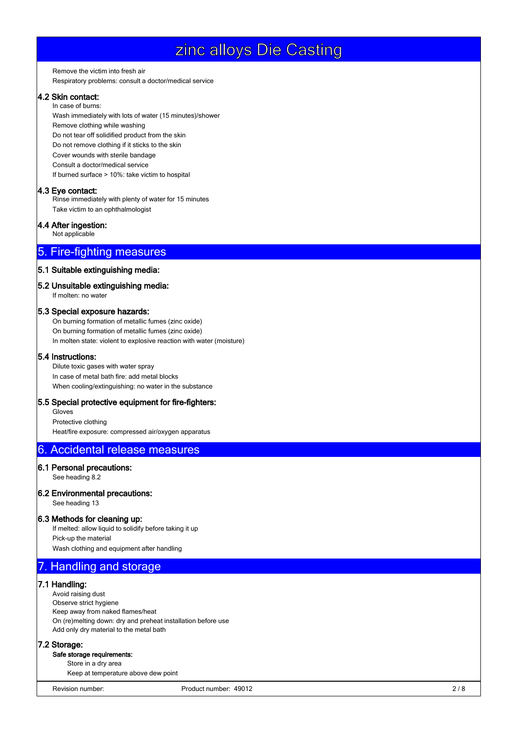Remove the victim into fresh air

Respiratory problems: consult a doctor/medical service

### **4.2 Skin contact:**

In case of burns:

Wash immediately with lots of water (15 minutes)/shower

Remove clothing while washing

Do not tear off solidified product from the skin

Do not remove clothing if it sticks to the skin

Cover wounds with sterile bandage

Consult a doctor/medical service

If burned surface > 10%: take victim to hospital

### **4.3 Eye contact:**

Rinse immediately with plenty of water for 15 minutes Take victim to an ophthalmologist

### **4.4 After ingestion:**

Not applicable

### 5. Fire-fighting measures

### **5.1 Suitable extinguishing media:**

### **5.2 Unsuitable extinguishing media:**

If molten: no water

### **5.3 Special exposure hazards:**

On burning formation of metallic fumes (zinc oxide) On burning formation of metallic fumes (zinc oxide) In molten state: violent to explosive reaction with water (moisture)

### **5.4 Instructions:**

Dilute toxic gases with water spray In case of metal bath fire: add metal blocks When cooling/extinguishing: no water in the substance

### **5.5 Special protective equipment for fire-fighters:**

Gloves Protective clothing Heat/fire exposure: compressed air/oxygen apparatus

### 6. Accidental release measures

### **6.1 Personal precautions:**

See heading 8.2

### **6.2 Environmental precautions:**

See heading 13

### **6.3 Methods for cleaning up:**

If melted: allow liquid to solidify before taking it up Pick-up the material Wash clothing and equipment after handling

### 7. Handling and storage

### **7.1 Handling:**

Avoid raising dust Observe strict hygiene Keep away from naked flames/heat On (re)melting down: dry and preheat installation before use Add only dry material to the metal bath

### **7.2 Storage:**

### **Safe storage requirements:**

Store in a dry area

Keep at temperature above dew point

Revision number: Product number: 49012 2 / 8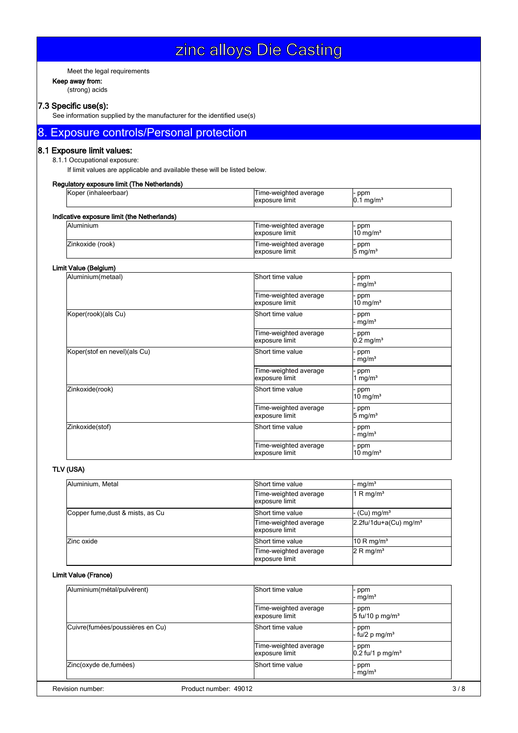Meet the legal requirements

**Keep away from:**

(strong) acids

### **7.3 Specific use(s):**

See information supplied by the manufacturer for the identified use(s)

### 8. Exposure controls/Personal protection

### **8.1 Exposure limit values:**

#### 8.1.1 Occupational exposure:

If limit values are applicable and available these will be listed below.

#### **Regulatory exposure limit (The Netherlands)**

| Koper (inhaleerbaar)                        | Time-weighted average<br>exposure limit | - ppm<br>$10.1$ mg/m <sup>3</sup> |
|---------------------------------------------|-----------------------------------------|-----------------------------------|
| Indicative exposure limit (the Netherlands) |                                         |                                   |
| Aluminium                                   | Time-weighted average<br>exposure limit | I- ppm<br>$10 \text{ mg/m}^3$     |
| Zinkoxide (rook)                            | Time-weighted average<br>exposure limit | l- ppm<br>$5 \text{ mg/m}^3$      |

#### **Limit Value (Belgium)**

| Aluminium (metaal)           | <b>Short time value</b>                 | ppm<br>- mg/m <sup>3</sup>       |  |
|------------------------------|-----------------------------------------|----------------------------------|--|
|                              | Time-weighted average<br>exposure limit | ppm<br>10 mg/m <sup>3</sup>      |  |
| Koper(rook)(als Cu)          | Short time value                        | ppm<br>$\cdot$ mg/m <sup>3</sup> |  |
|                              | Time-weighted average<br>exposure limit | ppm<br>$0.2$ mg/m <sup>3</sup>   |  |
| Koper(stof en nevel)(als Cu) | lShort time value                       | ppm<br>mg/m <sup>3</sup>         |  |
|                              | Time-weighted average<br>exposure limit | ppm<br>1 mg/m <sup>3</sup>       |  |
| Zinkoxide(rook)              | Short time value                        | ppm<br>$10 \text{ mg/m}^3$       |  |
|                              | Time-weighted average<br>exposure limit | ppm<br>$5 \text{ mg/m}^3$        |  |
| Zinkoxide(stof)              | <b>Short time value</b>                 | ppm<br>mg/m <sup>3</sup>         |  |
|                              | Time-weighted average<br>exposure limit | ppm<br>$10 \text{ mg/m}^3$       |  |

### **TLV (USA)**

| Aluminium, Metal                 | Short time value                         | $-$ mg/m <sup>3</sup>                |
|----------------------------------|------------------------------------------|--------------------------------------|
|                                  | Time-weighted average<br>exposure limit  | 1 R mg/m <sup>3</sup>                |
| Copper fume, dust & mists, as Cu | Short time value                         | l- (Cu) mg/mª                        |
|                                  | Time-weighted average<br>exposure limit  | $2.2$ fu/1du+a(Cu) mg/m <sup>3</sup> |
| Zinc oxide                       | Short time value                         | $10 R$ mg/m <sup>3</sup>             |
|                                  | Time-weighted average<br>lexposure limit | $2 R$ mg/m <sup>3</sup>              |

### **Limit Value (France)**

| Aluminium (métal/pulvérent)     |                       | Short time value                        | l- ppm<br>$-$ mg/m <sup>3</sup>                 |     |
|---------------------------------|-----------------------|-----------------------------------------|-------------------------------------------------|-----|
|                                 |                       | Time-weighted average<br>exposure limit | - ppm<br>$5 \frac{\mu}{10}$ p mg/m <sup>3</sup> |     |
| Cuivre(fumées/poussières en Cu) |                       | lShort time value                       | - ppm<br>- fu/2 p mg/m <sup>3</sup>             |     |
|                                 |                       | Time-weighted average<br>exposure limit | l- ppm<br>$0.2 \, \text{fu/1 p mg/m}^3$         |     |
| Zinc(oxyde de,fumées)           |                       | <b>IShort time value</b>                | l- ppm<br>- mg/m <sup>3</sup>                   |     |
| Revision number:                | Product number: 49012 |                                         |                                                 | 3/8 |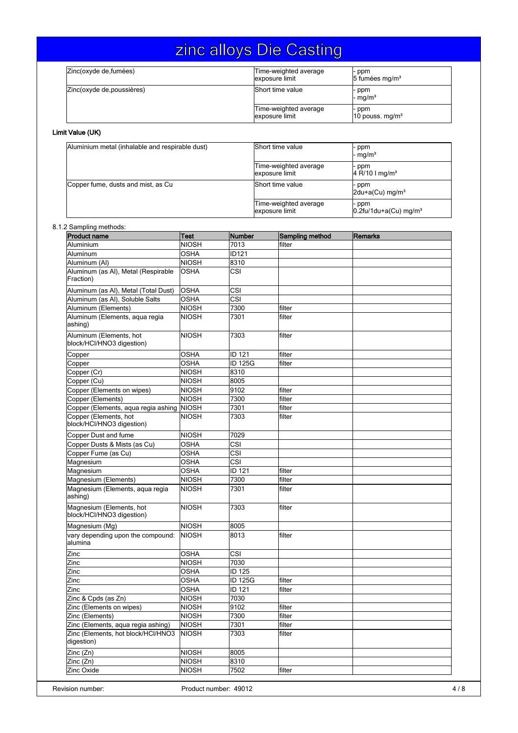| Zinc(oxyde de, fumées)     | Time-weighted average<br>exposure limit | I- ppm<br>$5$ fumées mg/m <sup>3</sup>  |
|----------------------------|-----------------------------------------|-----------------------------------------|
| Zinc(oxyde de, poussières) | Short time value                        | - ppm<br>$\vert$ - mg/m <sup>3</sup>    |
|                            | Time-weighted average<br>exposure limit | I- ppm<br>$10$ pouss. mg/m <sup>3</sup> |

### **Limit Value (UK)**

| Aluminium metal (inhalable and respirable dust) | <b>Short time value</b>                 | l- ppm<br>$-$ mg/m <sup>3</sup>                 |
|-------------------------------------------------|-----------------------------------------|-------------------------------------------------|
|                                                 | Time-weighted average<br>exposure limit | I- ppm<br>$4$ R/10 I mg/m <sup>3</sup>          |
| Copper fume, dusts and mist, as Cu              | <b>Short time value</b>                 | I- ppm<br>$2du+a(Cu)$ mg/m <sup>3</sup>         |
|                                                 | Time-weighted average<br>exposure limit | I- ppm<br>$ 0.2$ fu/1du+a(Cu) mg/m <sup>3</sup> |

## 8.1.2 Sampling methods:

| <b>Product name</b>                                   | <b>Test</b>  | Number                | Sampling method | Remarks |
|-------------------------------------------------------|--------------|-----------------------|-----------------|---------|
| Aluminium                                             | <b>NIOSH</b> | 7013                  | filter          |         |
| Aluminum                                              | <b>OSHA</b>  | <b>ID121</b>          |                 |         |
| Aluminum (Al)                                         | <b>NIOSH</b> | 8310                  |                 |         |
| Aluminum (as Al), Metal (Respirable<br>Fraction)      | <b>OSHA</b>  | <b>CSI</b>            |                 |         |
| Aluminum (as Al), Metal (Total Dust)                  | <b>OSHA</b>  | CSI                   |                 |         |
| Aluminum (as Al), Soluble Salts                       | <b>OSHA</b>  | CSI                   |                 |         |
| Aluminum (Elements)                                   | <b>NIOSH</b> | 7300                  | filter          |         |
| Aluminum (Elements, aqua regia<br>ashing)             | <b>NIOSH</b> | 7301                  | filter          |         |
| Aluminum (Elements, hot<br>block/HCl/HNO3 digestion)  | <b>NIOSH</b> | 7303                  | filter          |         |
| Copper                                                | <b>OSHA</b>  | ID 121                | filter          |         |
| Copper                                                | <b>OSHA</b>  | ID 125G               | filter          |         |
| Copper (Cr)                                           | <b>NIOSH</b> | 8310                  |                 |         |
| Copper (Cu)                                           | <b>NIOSH</b> | 8005                  |                 |         |
| Copper (Elements on wipes)                            | <b>NIOSH</b> | 9102                  | filter          |         |
| Copper (Elements)                                     | <b>NIOSH</b> | 7300                  | filter          |         |
| Copper (Elements, aqua regia ashing                   | <b>NIOSH</b> | 7301                  | filter          |         |
| Copper (Elements, hot<br>block/HCl/HNO3 digestion)    | <b>NIOSH</b> | 7303                  | filter          |         |
| Copper Dust and fume                                  | <b>NIOSH</b> | 7029                  |                 |         |
| Copper Dusts & Mists (as Cu)                          | OSHA         | CSI                   |                 |         |
| Copper Fume (as Cu)                                   | <b>OSHA</b>  | CSI                   |                 |         |
| Magnesium                                             | <b>OSHA</b>  | CSI                   |                 |         |
| Magnesium                                             | <b>OSHA</b>  | ID 121                | lfilter         |         |
| Magnesium (Elements)                                  | <b>NIOSH</b> | 7300                  | filter          |         |
| Magnesium (Elements, aqua regia<br>ashing)            | <b>NIOSH</b> | 7301                  | filter          |         |
| Magnesium (Elements, hot<br>block/HCl/HNO3 digestion) | <b>NIOSH</b> | 7303                  | filter          |         |
| Magnesium (Mg)                                        | <b>NIOSH</b> | 8005                  |                 |         |
| vary depending upon the compound:<br>alumina          | <b>NIOSH</b> | 8013                  | filter          |         |
| Zinc                                                  | <b>OSHA</b>  | <b>CSI</b>            |                 |         |
| Zinc                                                  | <b>NIOSH</b> | 7030                  |                 |         |
| Zinc                                                  | <b>OSHA</b>  | <b>ID 125</b>         |                 |         |
| Zinc                                                  | <b>OSHA</b>  | <b>ID 125G</b>        | filter          |         |
| Zinc                                                  | <b>OSHA</b>  | <b>ID 121</b>         | filter          |         |
| Zinc & Cpds (as Zn)                                   | <b>NIOSH</b> | 7030                  |                 |         |
| Zinc (Elements on wipes)                              | <b>NIOSH</b> | 9102                  | filter          |         |
| Zinc (Elements)                                       | <b>NIOSH</b> | 7300                  | filter          |         |
| Zinc (Elements, aqua regia ashing)                    | <b>NIOSH</b> | 7301                  | filter          |         |
| Zinc (Elements, hot block/HCl/HNO3<br>digestion)      | <b>NIOSH</b> | 7303                  | filter          |         |
| Zinc (Zn)                                             | <b>NIOSH</b> | 8005                  |                 |         |
| Zinc (Zn)                                             | <b>NIOSH</b> | 8310                  |                 |         |
| Zinc Oxide                                            | <b>NIOSH</b> | 7502                  | filter          |         |
| Revision number:                                      |              | Product number: 49012 |                 |         |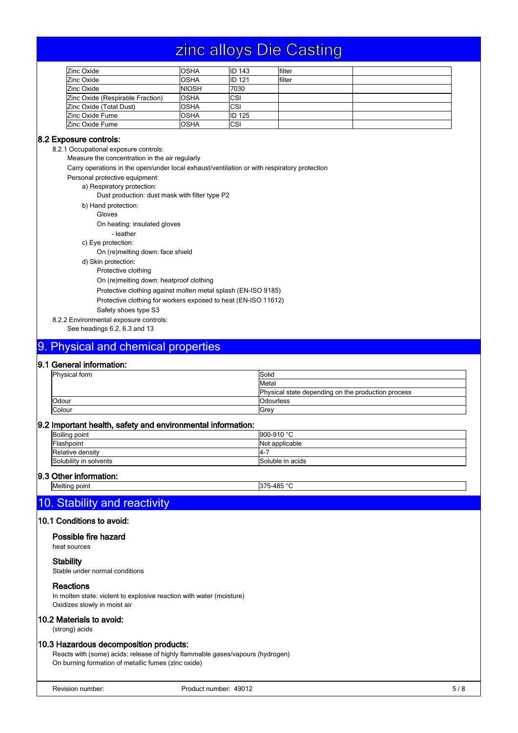| Zinc Oxide                       | <b>OSHA</b>  | <b>ID 143</b> | <b>Ifilter</b> |  |
|----------------------------------|--------------|---------------|----------------|--|
| <b>Zinc Oxide</b>                | <b>OSHA</b>  | <b>ID 121</b> | <b>Ifilter</b> |  |
| <b>Zinc Oxide</b>                | <b>NIOSH</b> | 7030          |                |  |
| Zinc Oxide (Respirable Fraction) | <b>OSHA</b>  | <b>CSI</b>    |                |  |
| <b>Zinc Oxide (Total Dust)</b>   | <b>OSHA</b>  | <b>CSI</b>    |                |  |
| IZinc Oxide Fume                 | <b>OSHA</b>  | <b>ID 125</b> |                |  |
| IZinc Oxide Fume                 | <b>OSHA</b>  | ICSI          |                |  |

### **8.2 Exposure controls:**

8.2.1 Occupational exposure controls:

Measure the concentration in the air regularly

Carry operations in the open/under local exhaust/ventilation or with respiratory protection

Personal protective equipment:

a) Respiratory protection:

Dust production: dust mask with filter type P2

- b) Hand protection:
	- Gloves

On heating: insulated gloves

- leather

c) Eye protection:

On (re)melting down: face shield

d) Skin protection: Protective clothing

On (re)melting down: heatproof clothing

Protective clothing against molten metal splash (EN-ISO 9185)

Protective clothing for workers exposed to heat (EN-ISO 11612)

Safety shoes type S3

8.2.2 Environmental exposure controls:

See headings 6.2, 6.3 and 13

### 9. Physical and chemical properties

### **9.1 General information:**

| Physical form | Solid                                              |
|---------------|----------------------------------------------------|
|               | Metal                                              |
|               | Physical state depending on the production process |
| <b>Odour</b>  | <b>Odourless</b>                                   |
| Colour        | Grev                                               |

### **9.2 Important health, safety and environmental information:**

| Boiling point          | 1900-910 °C      |
|------------------------|------------------|
| Flashpoint             | Not applicable   |
| Relative density       | 4-               |
| Solubility in solvents | Soluble in acids |

### **9.3 Other information:**

Melting point 375-485 °C

### 10. Stability and reactivity

### **10.1 Conditions to avoid:**

### **Possible fire hazard**

heat sources

### **Stability**

Stable under normal conditions

### **Reactions**

In molten state: violent to explosive reaction with water (moisture) Oxidizes slowly in moist air

### **10.2 Materials to avoid:**

(strong) acids

### **10.3 Hazardous decomposition products:**

Reacts with (some) acids: release of highly flammable gases/vapours (hydrogen) On burning formation of metallic fumes (zinc oxide)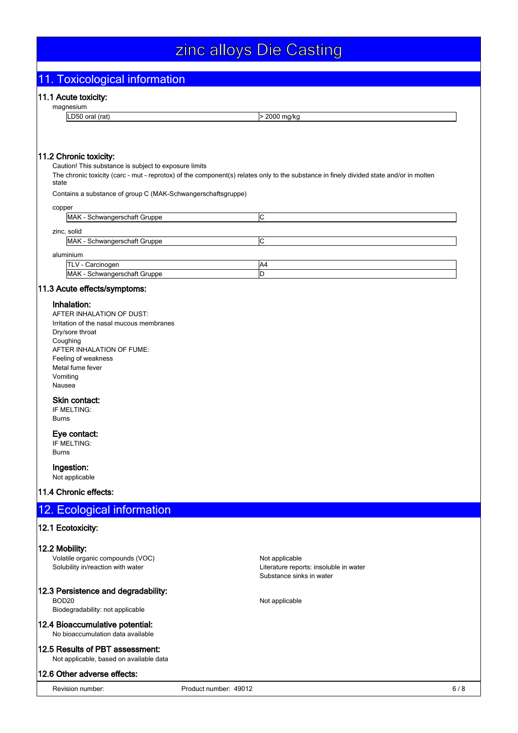### 11. Toxicological information

### **11.1 Acute toxicity:**

magnesium

LD50 oral (rat) > 2000 mg/kg

### **11.2 Chronic toxicity:**

Caution! This substance is subject to exposure limits

The chronic toxicity (carc - mut - reprotox) of the component(s) relates only to the substance in finely divided state and/or in molten state

Contains a substance of group C (MAK-Schwangerschaftsgruppe)

#### copper

| MAK - Schwangerschaft Gruppe |     |
|------------------------------|-----|
| zinc, solid                  |     |
| MAK - Schwangerschaft Gruppe |     |
| aluminium                    |     |
| TLV - Carcinogen             | IA4 |
| MAK - Schwangerschaft Gruppe | IC  |

### **11.3 Acute effects/symptoms:**

#### **Inhalation:**

AFTER INHALATION OF DUST: Irritation of the nasal mucous membranes Dry/sore throat Coughing AFTER INHALATION OF FUME: Feeling of weakness Metal fume fever Vomiting Nausea

### **Skin contact:**

IF MELTING: Burns

#### **Eye contact:**

IF MELTING: Burns

### **Ingestion:**

Not applicable

### **11.4 Chronic effects:**

### 12. Ecological information

### **12.1 Ecotoxicity:**

### **12.2 Mobility:**

Volatile organic compounds (VOC) Not applicable Solubility in/reaction with water **Literature reports:** insoluble in water **12.3 Persistence and degradability:** BOD20 Not applicable

Biodegradability: not applicable

#### **12.4 Bioaccumulative potential:** No bioaccumulation data available

### **12.5 Results of PBT assessment:**

Not applicable, based on available data

### **12.6 Other adverse effects:**

Revision number: 6/8 and 12 and 12 and 12 and 12 and 13 and 13 and 14 and 15 and 16 and 16 and 16 and 16 and 1

Substance sinks in water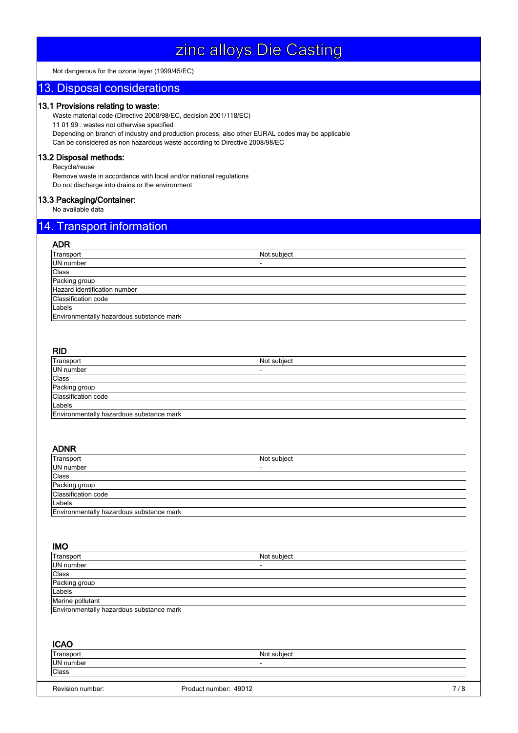Not dangerous for the ozone layer (1999/45/EC)

### 13. Disposal considerations

### **13.1 Provisions relating to waste:**

Waste material code (Directive 2008/98/EC, decision 2001/118/EC)

11 01 99 : wastes not otherwise specified

Depending on branch of industry and production process, also other EURAL codes may be applicable Can be considered as non hazardous waste according to Directive 2008/98/EC

### **13.2 Disposal methods:**

Recycle/reuse

Remove waste in accordance with local and/or national regulations Do not discharge into drains or the environment

### **13.3 Packaging/Container:**

No available data

### 14. Transport information

### **ADR**

| .                                        |             |
|------------------------------------------|-------------|
| Transport                                | Not subject |
| <b>UN</b> number                         |             |
| <b>Class</b>                             |             |
| Packing group                            |             |
| Hazard identification number             |             |
| Classification code                      |             |
| Labels                                   |             |
| Environmentally hazardous substance mark |             |
|                                          |             |

### **RID**

| Transport                                | Not subject |
|------------------------------------------|-------------|
| UN number                                |             |
| Class                                    |             |
| Packing group                            |             |
| Classification code                      |             |
| Labels                                   |             |
| Environmentally hazardous substance mark |             |

### **ADNR**

| Transport                                | Not subject |
|------------------------------------------|-------------|
| UN number                                |             |
| <b>Class</b>                             |             |
| Packing group                            |             |
| Classification code                      |             |
| Labels                                   |             |
| Environmentally hazardous substance mark |             |

**IMO**

| Transport                                | Not subject |
|------------------------------------------|-------------|
| UN number                                |             |
| <b>Class</b>                             |             |
| Packing group                            |             |
| Labels                                   |             |
| Marine pollutant                         |             |
| Environmentally hazardous substance mark |             |

### **ICAO**

| -----            |                       |             |     |
|------------------|-----------------------|-------------|-----|
| Transport        |                       | Not subject |     |
| UN number        |                       |             |     |
| <b>Class</b>     |                       |             |     |
|                  |                       |             |     |
| Revision number: | Product number: 49012 |             | 7/8 |